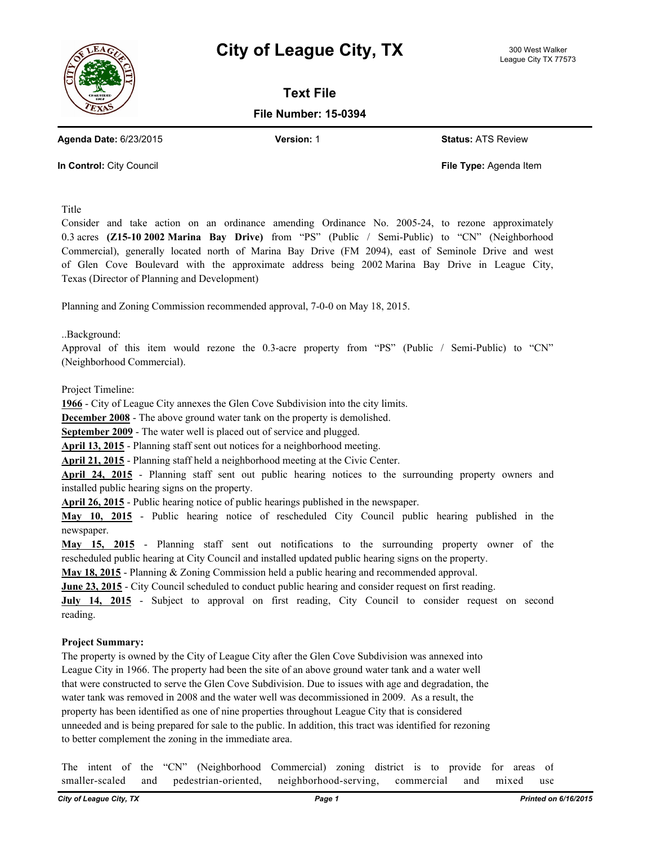



**Text File**

**File Number: 15-0394**

**Agenda Date:** 6/23/2015 **Version:** 1 **Status:** ATS Review

**In Control:** City Council **File Type:** Agenda Item

Title

Consider and take action on an ordinance amending Ordinance No. 2005-24, to rezone approximately 0.3 acres **(Z15-10 2002 Marina Bay Drive)** from "PS" (Public / Semi-Public) to "CN" (Neighborhood Commercial), generally located north of Marina Bay Drive (FM 2094), east of Seminole Drive and west of Glen Cove Boulevard with the approximate address being 2002 Marina Bay Drive in League City, Texas (Director of Planning and Development)

Planning and Zoning Commission recommended approval, 7-0-0 on May 18, 2015.

..Background:

Approval of this item would rezone the 0.3-acre property from "PS" (Public / Semi-Public) to "CN" (Neighborhood Commercial).

Project Timeline:

**1966** - City of League City annexes the Glen Cove Subdivision into the city limits.

**December 2008** - The above ground water tank on the property is demolished.

**September 2009** - The water well is placed out of service and plugged.

**April 13, 2015** - Planning staff sent out notices for a neighborhood meeting.

**April 21, 2015** - Planning staff held a neighborhood meeting at the Civic Center.

**April 24, 2015** - Planning staff sent out public hearing notices to the surrounding property owners and installed public hearing signs on the property.

**April 26, 2015** - Public hearing notice of public hearings published in the newspaper.

**May 10, 2015** - Public hearing notice of rescheduled City Council public hearing published in the newspaper.

**May 15, 2015** - Planning staff sent out notifications to the surrounding property owner of the rescheduled public hearing at City Council and installed updated public hearing signs on the property.

**May 18, 2015** - Planning & Zoning Commission held a public hearing and recommended approval.

**June 23, 2015** - City Council scheduled to conduct public hearing and consider request on first reading.

**July 14, 2015** - Subject to approval on first reading, City Council to consider request on second reading.

## **Project Summary:**

The property is owned by the City of League City after the Glen Cove Subdivision was annexed into League City in 1966. The property had been the site of an above ground water tank and a water well that were constructed to serve the Glen Cove Subdivision. Due to issues with age and degradation, the water tank was removed in 2008 and the water well was decommissioned in 2009. As a result, the property has been identified as one of nine properties throughout League City that is considered unneeded and is being prepared for sale to the public. In addition, this tract was identified for rezoning to better complement the zoning in the immediate area.

The intent of the "CN" (Neighborhood Commercial) zoning district is to provide for areas of smaller-scaled and pedestrian-oriented, neighborhood-serving, commercial and mixed use